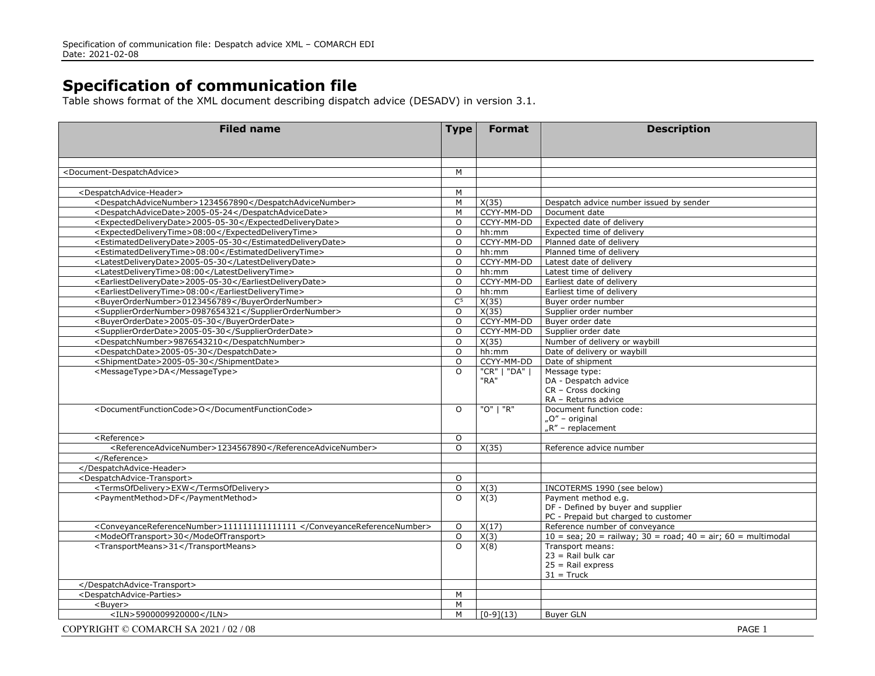## **Specification of communication file**

Table shows format of the XML document describing dispatch advice (DESADV) in version 3.1.

| <b>Filed name</b>                                                       | <b>Type</b>         | <b>Format</b> | <b>Description</b>                                                     |
|-------------------------------------------------------------------------|---------------------|---------------|------------------------------------------------------------------------|
|                                                                         |                     |               |                                                                        |
|                                                                         |                     |               |                                                                        |
| <document-despatchadvice></document-despatchadvice>                     | M                   |               |                                                                        |
| <despatchadvice-header></despatchadvice-header>                         | M                   |               |                                                                        |
| <despatchadvicenumber>1234567890</despatchadvicenumber>                 | M                   | X(35)         | Despatch advice number issued by sender                                |
| <despatchadvicedate>2005-05-24</despatchadvicedate>                     | M                   | CCYY-MM-DD    | Document date                                                          |
| <expecteddeliverydate>2005-05-30</expecteddeliverydate>                 | $\circ$             | CCYY-MM-DD    | Expected date of delivery                                              |
| <expecteddeliverytime>08:00</expecteddeliverytime>                      | $\Omega$            | hh:mm         | Expected time of delivery                                              |
| <estimateddeliverydate>2005-05-30</estimateddeliverydate>               | $\circ$             | CCYY-MM-DD    | Planned date of delivery                                               |
| <estimateddeliverytime>08:00</estimateddeliverytime>                    | $\circ$             | hh:mm         | Planned time of delivery                                               |
| <latestdeliverydate>2005-05-30</latestdeliverydate>                     | $\circ$             | CCYY-MM-DD    | Latest date of delivery                                                |
| <latestdeliverytime>08:00</latestdeliverytime>                          | $\circ$             | hh:mm         | Latest time of delivery                                                |
| <earliestdeliverydate>2005-05-30</earliestdeliverydate>                 | $\Omega$            | CCYY-MM-DD    | Earliest date of delivery                                              |
| <earliestdeliverytime>08:00</earliestdeliverytime>                      | $\Omega$            | hh:mm         | Earliest time of delivery                                              |
| <buyerordernumber>0123456789</buyerordernumber>                         | $\overline{C^5}$    | X(35)         | Buver order number                                                     |
| <supplierordernumber>0987654321</supplierordernumber>                   | $\circ$             | X(35)         | Supplier order number                                                  |
| <buyerorderdate>2005-05-30</buyerorderdate>                             | $\Omega$            | CCYY-MM-DD    | Buver order date                                                       |
| <supplierorderdate>2005-05-30</supplierorderdate>                       | $\circ$             | CCYY-MM-DD    | Supplier order date                                                    |
| <despatchnumber>9876543210</despatchnumber>                             | $\circ$             | X(35)         | Number of delivery or waybill                                          |
| <despatchdate>2005-05-30</despatchdate>                                 | $\circ$             | hh:mm         | Date of delivery or waybill                                            |
| <shipmentdate>2005-05-30</shipmentdate>                                 | $\mathsf O$         | CCYY-MM-DD    | Date of shipment                                                       |
| <messagetype>DA</messagetype>                                           | $\Omega$            | "CR"   "DA"   | Message type:                                                          |
|                                                                         |                     | "RA"          | DA - Despatch advice<br>CR - Cross docking                             |
|                                                                         |                     |               | RA - Returns advice                                                    |
| <documentfunctioncode>O</documentfunctioncode>                          | $\Omega$            | "O"   "R"     | Document function code:                                                |
|                                                                         |                     |               | "O" - original                                                         |
|                                                                         |                     |               | "R" - replacement                                                      |
| <reference></reference>                                                 | $\Omega$            |               |                                                                        |
| <referenceadvicenumber>1234567890</referenceadvicenumber>               | $\Omega$            | X(35)         | Reference advice number                                                |
|                                                                         |                     |               |                                                                        |
|                                                                         |                     |               |                                                                        |
| <despatchadvice-transport></despatchadvice-transport>                   | $\circ$             |               |                                                                        |
| <termsofdelivery>EXW</termsofdelivery>                                  | $\circ$             | X(3)          | INCOTERMS 1990 (see below)                                             |
| <paymentmethod>DF</paymentmethod>                                       | $\Omega$            | X(3)          | Payment method e.g.                                                    |
|                                                                         |                     |               | DF - Defined by buyer and supplier                                     |
|                                                                         |                     |               | PC - Prepaid but charged to customer                                   |
| <conveyancereferencenumber>111111111111111 </conveyancereferencenumber> | $\circ$             | X(17)         | Reference number of conveyance                                         |
| <modeoftransport>30</modeoftransport>                                   | $\circ$<br>$\Omega$ | X(3)          | $10 =$ sea; $20 =$ railway; $30 =$ road; $40 =$ air; $60 =$ multimodal |
| <transportmeans>31</transportmeans>                                     |                     | X(8)          | Transport means:<br>$23$ = Rail bulk car                               |
|                                                                         |                     |               | $25$ = Rail express                                                    |
|                                                                         |                     |               | $31 =$ Truck                                                           |
|                                                                         |                     |               |                                                                        |
| <despatchadvice-parties></despatchadvice-parties>                       | M                   |               |                                                                        |
| <buver></buver>                                                         | M                   |               |                                                                        |
| <iln>5900009920000</iln>                                                | M                   | $[0-9](13)$   | <b>Buyer GLN</b>                                                       |
|                                                                         |                     |               |                                                                        |
| COPYRIGHT © COMARCH SA 2021 / 02 / 08                                   |                     |               | PAGE 1                                                                 |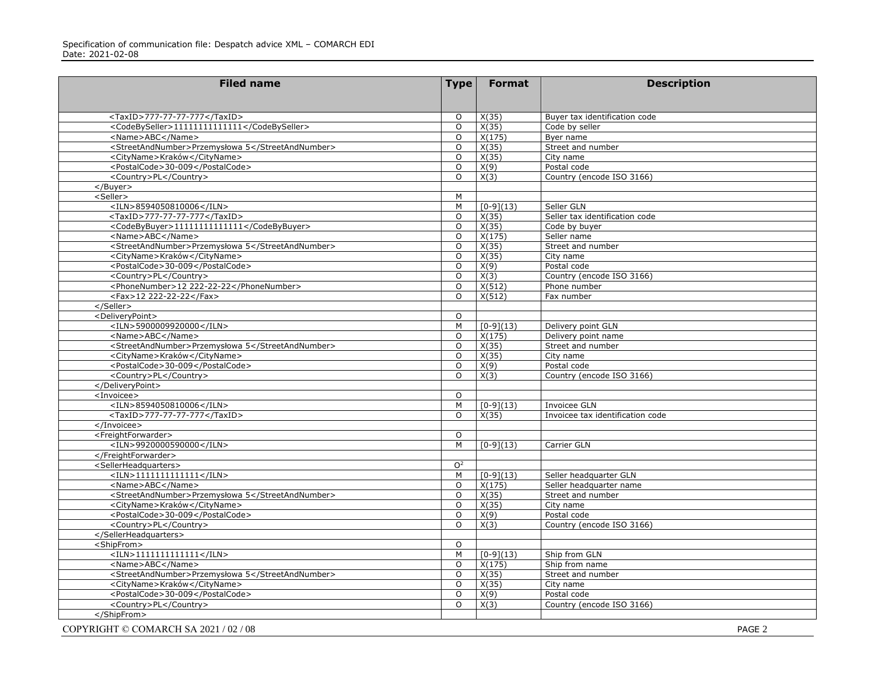| <b>Filed name</b>                                | <b>Type</b>    | <b>Format</b> | <b>Description</b>               |
|--------------------------------------------------|----------------|---------------|----------------------------------|
|                                                  |                |               |                                  |
| <taxid>777-77-77-777</taxid>                     | O              | X(35)         | Buyer tax identification code    |
| <codebyseller>11111111111111</codebyseller>      | $\Omega$       | X(35)         | Code by seller                   |
| <name>ABC</name>                                 | $\Omega$       | X(175)        | Bver name                        |
| <streetandnumber>Przemysłowa 5</streetandnumber> | $\circ$        | X(35)         | Street and number                |
| <cityname>Kraków</cityname>                      | $\circ$        | X(35)         | City name                        |
| <postalcode>30-009</postalcode>                  | $\Omega$       | X(9)          | Postal code                      |
| <country>PL</country>                            | $\Omega$       | X(3)          | Country (encode ISO 3166)        |
|                                                  |                |               |                                  |
| <seller></seller>                                | M              |               |                                  |
| <iln>8594050810006</iln>                         | M              | $[0-9](13)$   | Seller GLN                       |
| <taxid>777-77-77-777</taxid>                     | O              | X(35)         | Seller tax identification code   |
| <codebybuyer>11111111111111</codebybuyer>        | $\circ$        | X(35)         | Code by buyer                    |
| <name>ABC</name>                                 | $\Omega$       | X(175)        | Seller name                      |
| <streetandnumber>Przemysłowa 5</streetandnumber> | $\circ$        | X(35)         | Street and number                |
| <cityname>Kraków</cityname>                      | $\Omega$       | X(35)         | City name                        |
| <postalcode>30-009</postalcode>                  | $\Omega$       | X(9)          | Postal code                      |
| <country>PL</country>                            | $\circ$        | X(3)          | Country (encode ISO 3166)        |
| <phonenumber>12 222-22-22</phonenumber>          | $\circ$        | X(512)        | Phone number                     |
| <fax>12 222-22-22</fax>                          | $\circ$        | X(512)        | Fax number                       |
|                                                  |                |               |                                  |
| <deliverypoint></deliverypoint>                  | $\circ$        |               |                                  |
| <iln>5900009920000</iln>                         | M              | $[0-9](13)$   | Delivery point GLN               |
| <name>ABC</name>                                 | $\circ$        | X(175)        | Delivery point name              |
| <streetandnumber>Przemysłowa 5</streetandnumber> | $\circ$        | X(35)         | Street and number                |
| <cityname>Kraków</cityname>                      | $\Omega$       | X(35)         | City name                        |
| <postalcode>30-009</postalcode>                  | $\Omega$       | X(9)          | Postal code                      |
| <country>PL</country>                            | $\Omega$       | X(3)          | Country (encode ISO 3166)        |
|                                                  |                |               |                                  |
| <invoicee></invoicee>                            | $\Omega$       |               |                                  |
| <iln>8594050810006</iln>                         | M              | $[0-9](13)$   | Invoicee GLN                     |
| <taxid>777-77-77-777</taxid>                     | $\circ$        | X(35)         | Invoicee tax identification code |
|                                                  |                |               |                                  |
| <freightforwarder></freightforwarder>            | $\circ$        |               |                                  |
| <iln>9920000590000</iln>                         | M              | $[0-9](13)$   | Carrier GLN                      |
|                                                  |                |               |                                  |
| <sellerheadquarters></sellerheadquarters>        | O <sup>2</sup> |               |                                  |
| $<$ ILN>11111111111111                           | M              | $[0-9](13)$   | Seller headquarter GLN           |
| <name>ABC</name>                                 | $\Omega$       | X(175)        | Seller headquarter name          |
| <streetandnumber>Przemysłowa 5</streetandnumber> | $\Omega$       | X(35)         | Street and number                |
| <cityname>Kraków</cityname>                      | $\circ$        | X(35)         | City name                        |
| <postalcode>30-009</postalcode>                  | $\circ$        | X(9)          | Postal code                      |
| <country>PL</country>                            | $\Omega$       | X(3)          | Country (encode ISO 3166)        |
|                                                  |                |               |                                  |
| <shipfrom></shipfrom>                            | $\circ$        |               |                                  |
| $<$ ILN>1111111111111                            | M              | $[0-9](13)$   | Ship from GLN                    |
| <name>ABC</name>                                 | $\circ$        | X(175)        | Ship from name                   |
| <streetandnumber>Przemysłowa 5</streetandnumber> | O              | X(35)         | Street and number                |
| <cityname>Kraków</cityname>                      | $\Omega$       | X(35)         | City name                        |
| <postalcode>30-009</postalcode>                  | $\circ$        | X(9)          | Postal code                      |
| <country>PL</country>                            | $\circ$        | X(3)          | Country (encode ISO 3166)        |
|                                                  |                |               |                                  |
|                                                  |                |               |                                  |
| COPYRIGHT © COMARCH SA 2021 / 02 / 08            |                |               | PAGE 2                           |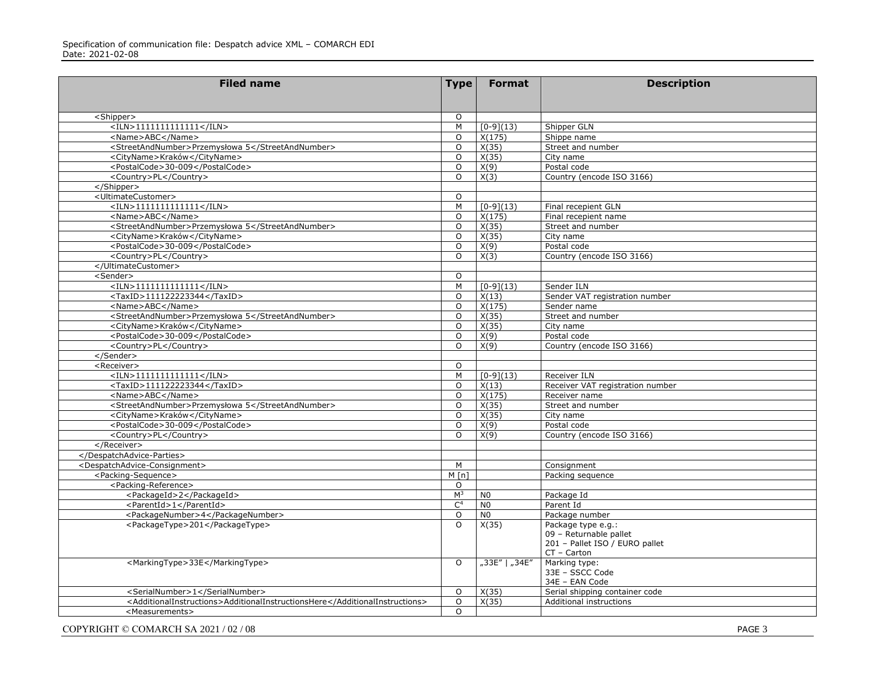| $\Omega$<br><shipper><br/><math>&lt;</math>ILN&gt;11111111111111<br/>Shipper GLN<br/>M<br/><math>[0-9](13)</math><br/><name>ABC</name><br/><math>\Omega</math><br/>X(175)<br/>Shippe name<br/><streetandnumber>Przemysłowa 5</streetandnumber><br/>X(35)<br/>Street and number<br/><math>\circ</math><br/><cityname>Kraków</cityname><br/>X(35)<br/><math>\Omega</math><br/>City name<br/><postalcode>30-009</postalcode><br/>X(9)<br/>Postal code<br/><math>\Omega</math><br/>Country (encode ISO 3166)<br/><country>PL</country><br/>X(3)<br/><math>\Omega</math><br/></shipper><br><ultimatecustomer><br/><math>\circ</math><br/><math>&lt;</math>ILN&gt;11111111111111<br/><math>[0-9](13)</math><br/>Final recepient GLN<br/>M<br/><name>ABC</name><br/><math>\Omega</math><br/>X(175)<br/>Final recepient name<br/><streetandnumber>Przemysłowa 5</streetandnumber><br/><math>\circ</math><br/>X(35)<br/>Street and number<br/><cityname>Kraków</cityname><br/><math>\circ</math><br/>X(35)<br/>City name<br/><postalcode>30-009</postalcode><br/>O<br/>X(9)<br/>Postal code<br/><country>PL</country><br/>X(3)<br/>Country (encode ISO 3166)<br/><math>\Omega</math><br/></ultimatecustomer><br><sender><br/><math>\circ</math><br/><math>&lt;</math>ILN&gt;1111111111111<br/><math>[0-9](13)</math><br/>Sender ILN<br/>М<br/><taxid>111122223344</taxid><br/><math>\Omega</math><br/>X(13)<br/>Sender VAT registration number<br/>X(175)<br/><name>ABC</name><br/><math>\circ</math><br/>Sender name<br/><streetandnumber>Przemysłowa 5</streetandnumber><br/>X(35)<br/>Street and number<br/><math>\circ</math><br/><cityname>Kraków</cityname><br/><math>\circ</math><br/>X(35)<br/>City name<br/><postalcode>30-009</postalcode><br/>X(9)<br/>Postal code<br/><math>\Omega</math><br/>X(9)<br/><country>PL</country><br/>Country (encode ISO 3166)<br/><math>\Omega</math><br/></sender><br><receiver><br/><math>\Omega</math><br/><math>&lt;</math>ILN&gt;11111111111111<br/><math>[0-9](13)</math><br/>M<br/><b>Receiver ILN</b><br/><taxid>111122223344</taxid><br/><math>\Omega</math><br/>X(13)<br/>Receiver VAT registration number<br/><name>ABC</name><br/>X(175)<br/><math>\circ</math><br/>Receiver name<br/><streetandnumber>Przemysłowa 5</streetandnumber><br/>X(35)<br/><math>\Omega</math><br/>Street and number<br/><cityname>Kraków</cityname><br/><math>\circ</math><br/>X(35)<br/>City name<br/><postalcode>30-009</postalcode><br/>X(9)<br/>Postal code<br/><math>\Omega</math><br/><country>PL</country><br/>X(9)<br/>Country (encode ISO 3166)<br/>O<br/></receiver><br><br><despatchadvice-consignment><br/>M<br/>Consignment<br/><packing-sequence><br/>M[n]<br/>Packing sequence<br/><packing-reference><br/><math>\circ</math><br/>M<sup>3</sup><br/><packageid>2</packageid><br/>N<sub>0</sub><br/>Package Id<br/>N<sub>0</sub><br/><parentid>1</parentid><br/>C<sup>4</sup><br/>Parent Id<br/><math>\Omega</math><br/>N<sub>0</sub><br/>Package number<br/><packagenumber>4</packagenumber><br/><packagetype>201</packagetype><br/>X(35)<br/><math>\Omega</math><br/>Package type e.g.:<br/>09 - Returnable pallet<br/>201 - Pallet ISO / EURO pallet<br/><math>CT - Carton</math><br/>"33E"   "34E"<br/>Marking type:<br/><markingtype>33E</markingtype><br/><math>\Omega</math><br/>33E - SSCC Code<br/>34E - EAN Code<br/>Serial shipping container code<br/><serialnumber>1</serialnumber><br/><math>\circ</math><br/>X(35)<br/><additionalinstructions>AdditionalInstructionsHere</additionalinstructions><br/><math>\circ</math><br/>X(35)<br/>Additional instructions<br/><measurements><br/><math>\Omega</math></measurements></packing-reference></packing-sequence></despatchadvice-consignment> | <b>Filed name</b> | <b>Type</b> | <b>Format</b> | <b>Description</b> |
|---------------------------------------------------------------------------------------------------------------------------------------------------------------------------------------------------------------------------------------------------------------------------------------------------------------------------------------------------------------------------------------------------------------------------------------------------------------------------------------------------------------------------------------------------------------------------------------------------------------------------------------------------------------------------------------------------------------------------------------------------------------------------------------------------------------------------------------------------------------------------------------------------------------------------------------------------------------------------------------------------------------------------------------------------------------------------------------------------------------------------------------------------------------------------------------------------------------------------------------------------------------------------------------------------------------------------------------------------------------------------------------------------------------------------------------------------------------------------------------------------------------------------------------------------------------------------------------------------------------------------------------------------------------------------------------------------------------------------------------------------------------------------------------------------------------------------------------------------------------------------------------------------------------------------------------------------------------------------------------------------------------------------------------------------------------------------------------------------------------------------------------------------------------------------------------------------------------------------------------------------------------------------------------------------------------------------------------------------------------------------------------------------------------------------------------------------------------------------------------------------------------------------------------------------------------------------------------------------------------------------------------------------------------------------------------------------------------------------------------------------------------------------------------------------------------------------------------------------------------------------------------------------------------------------------------------------------------------------------------------------------------------------------------------------------------------------------------------------------------------------------------------------------------------------------------------------------------------------------------------------------------------------------------------------------------------------------------------------------------------------------------------------------------------------------------------------------------------------------------------------------------------------------------------------------------------------------------------------------------------------------------------------------------------------------------------------------------------------------------------------|-------------------|-------------|---------------|--------------------|
|                                                                                                                                                                                                                                                                                                                                                                                                                                                                                                                                                                                                                                                                                                                                                                                                                                                                                                                                                                                                                                                                                                                                                                                                                                                                                                                                                                                                                                                                                                                                                                                                                                                                                                                                                                                                                                                                                                                                                                                                                                                                                                                                                                                                                                                                                                                                                                                                                                                                                                                                                                                                                                                                                                                                                                                                                                                                                                                                                                                                                                                                                                                                                                                                                                                                                                                                                                                                                                                                                                                                                                                                                                                                                                                                                   |                   |             |               |                    |
|                                                                                                                                                                                                                                                                                                                                                                                                                                                                                                                                                                                                                                                                                                                                                                                                                                                                                                                                                                                                                                                                                                                                                                                                                                                                                                                                                                                                                                                                                                                                                                                                                                                                                                                                                                                                                                                                                                                                                                                                                                                                                                                                                                                                                                                                                                                                                                                                                                                                                                                                                                                                                                                                                                                                                                                                                                                                                                                                                                                                                                                                                                                                                                                                                                                                                                                                                                                                                                                                                                                                                                                                                                                                                                                                                   |                   |             |               |                    |
|                                                                                                                                                                                                                                                                                                                                                                                                                                                                                                                                                                                                                                                                                                                                                                                                                                                                                                                                                                                                                                                                                                                                                                                                                                                                                                                                                                                                                                                                                                                                                                                                                                                                                                                                                                                                                                                                                                                                                                                                                                                                                                                                                                                                                                                                                                                                                                                                                                                                                                                                                                                                                                                                                                                                                                                                                                                                                                                                                                                                                                                                                                                                                                                                                                                                                                                                                                                                                                                                                                                                                                                                                                                                                                                                                   |                   |             |               |                    |
|                                                                                                                                                                                                                                                                                                                                                                                                                                                                                                                                                                                                                                                                                                                                                                                                                                                                                                                                                                                                                                                                                                                                                                                                                                                                                                                                                                                                                                                                                                                                                                                                                                                                                                                                                                                                                                                                                                                                                                                                                                                                                                                                                                                                                                                                                                                                                                                                                                                                                                                                                                                                                                                                                                                                                                                                                                                                                                                                                                                                                                                                                                                                                                                                                                                                                                                                                                                                                                                                                                                                                                                                                                                                                                                                                   |                   |             |               |                    |
|                                                                                                                                                                                                                                                                                                                                                                                                                                                                                                                                                                                                                                                                                                                                                                                                                                                                                                                                                                                                                                                                                                                                                                                                                                                                                                                                                                                                                                                                                                                                                                                                                                                                                                                                                                                                                                                                                                                                                                                                                                                                                                                                                                                                                                                                                                                                                                                                                                                                                                                                                                                                                                                                                                                                                                                                                                                                                                                                                                                                                                                                                                                                                                                                                                                                                                                                                                                                                                                                                                                                                                                                                                                                                                                                                   |                   |             |               |                    |
|                                                                                                                                                                                                                                                                                                                                                                                                                                                                                                                                                                                                                                                                                                                                                                                                                                                                                                                                                                                                                                                                                                                                                                                                                                                                                                                                                                                                                                                                                                                                                                                                                                                                                                                                                                                                                                                                                                                                                                                                                                                                                                                                                                                                                                                                                                                                                                                                                                                                                                                                                                                                                                                                                                                                                                                                                                                                                                                                                                                                                                                                                                                                                                                                                                                                                                                                                                                                                                                                                                                                                                                                                                                                                                                                                   |                   |             |               |                    |
|                                                                                                                                                                                                                                                                                                                                                                                                                                                                                                                                                                                                                                                                                                                                                                                                                                                                                                                                                                                                                                                                                                                                                                                                                                                                                                                                                                                                                                                                                                                                                                                                                                                                                                                                                                                                                                                                                                                                                                                                                                                                                                                                                                                                                                                                                                                                                                                                                                                                                                                                                                                                                                                                                                                                                                                                                                                                                                                                                                                                                                                                                                                                                                                                                                                                                                                                                                                                                                                                                                                                                                                                                                                                                                                                                   |                   |             |               |                    |
|                                                                                                                                                                                                                                                                                                                                                                                                                                                                                                                                                                                                                                                                                                                                                                                                                                                                                                                                                                                                                                                                                                                                                                                                                                                                                                                                                                                                                                                                                                                                                                                                                                                                                                                                                                                                                                                                                                                                                                                                                                                                                                                                                                                                                                                                                                                                                                                                                                                                                                                                                                                                                                                                                                                                                                                                                                                                                                                                                                                                                                                                                                                                                                                                                                                                                                                                                                                                                                                                                                                                                                                                                                                                                                                                                   |                   |             |               |                    |
|                                                                                                                                                                                                                                                                                                                                                                                                                                                                                                                                                                                                                                                                                                                                                                                                                                                                                                                                                                                                                                                                                                                                                                                                                                                                                                                                                                                                                                                                                                                                                                                                                                                                                                                                                                                                                                                                                                                                                                                                                                                                                                                                                                                                                                                                                                                                                                                                                                                                                                                                                                                                                                                                                                                                                                                                                                                                                                                                                                                                                                                                                                                                                                                                                                                                                                                                                                                                                                                                                                                                                                                                                                                                                                                                                   |                   |             |               |                    |
|                                                                                                                                                                                                                                                                                                                                                                                                                                                                                                                                                                                                                                                                                                                                                                                                                                                                                                                                                                                                                                                                                                                                                                                                                                                                                                                                                                                                                                                                                                                                                                                                                                                                                                                                                                                                                                                                                                                                                                                                                                                                                                                                                                                                                                                                                                                                                                                                                                                                                                                                                                                                                                                                                                                                                                                                                                                                                                                                                                                                                                                                                                                                                                                                                                                                                                                                                                                                                                                                                                                                                                                                                                                                                                                                                   |                   |             |               |                    |
|                                                                                                                                                                                                                                                                                                                                                                                                                                                                                                                                                                                                                                                                                                                                                                                                                                                                                                                                                                                                                                                                                                                                                                                                                                                                                                                                                                                                                                                                                                                                                                                                                                                                                                                                                                                                                                                                                                                                                                                                                                                                                                                                                                                                                                                                                                                                                                                                                                                                                                                                                                                                                                                                                                                                                                                                                                                                                                                                                                                                                                                                                                                                                                                                                                                                                                                                                                                                                                                                                                                                                                                                                                                                                                                                                   |                   |             |               |                    |
|                                                                                                                                                                                                                                                                                                                                                                                                                                                                                                                                                                                                                                                                                                                                                                                                                                                                                                                                                                                                                                                                                                                                                                                                                                                                                                                                                                                                                                                                                                                                                                                                                                                                                                                                                                                                                                                                                                                                                                                                                                                                                                                                                                                                                                                                                                                                                                                                                                                                                                                                                                                                                                                                                                                                                                                                                                                                                                                                                                                                                                                                                                                                                                                                                                                                                                                                                                                                                                                                                                                                                                                                                                                                                                                                                   |                   |             |               |                    |
|                                                                                                                                                                                                                                                                                                                                                                                                                                                                                                                                                                                                                                                                                                                                                                                                                                                                                                                                                                                                                                                                                                                                                                                                                                                                                                                                                                                                                                                                                                                                                                                                                                                                                                                                                                                                                                                                                                                                                                                                                                                                                                                                                                                                                                                                                                                                                                                                                                                                                                                                                                                                                                                                                                                                                                                                                                                                                                                                                                                                                                                                                                                                                                                                                                                                                                                                                                                                                                                                                                                                                                                                                                                                                                                                                   |                   |             |               |                    |
|                                                                                                                                                                                                                                                                                                                                                                                                                                                                                                                                                                                                                                                                                                                                                                                                                                                                                                                                                                                                                                                                                                                                                                                                                                                                                                                                                                                                                                                                                                                                                                                                                                                                                                                                                                                                                                                                                                                                                                                                                                                                                                                                                                                                                                                                                                                                                                                                                                                                                                                                                                                                                                                                                                                                                                                                                                                                                                                                                                                                                                                                                                                                                                                                                                                                                                                                                                                                                                                                                                                                                                                                                                                                                                                                                   |                   |             |               |                    |
|                                                                                                                                                                                                                                                                                                                                                                                                                                                                                                                                                                                                                                                                                                                                                                                                                                                                                                                                                                                                                                                                                                                                                                                                                                                                                                                                                                                                                                                                                                                                                                                                                                                                                                                                                                                                                                                                                                                                                                                                                                                                                                                                                                                                                                                                                                                                                                                                                                                                                                                                                                                                                                                                                                                                                                                                                                                                                                                                                                                                                                                                                                                                                                                                                                                                                                                                                                                                                                                                                                                                                                                                                                                                                                                                                   |                   |             |               |                    |
|                                                                                                                                                                                                                                                                                                                                                                                                                                                                                                                                                                                                                                                                                                                                                                                                                                                                                                                                                                                                                                                                                                                                                                                                                                                                                                                                                                                                                                                                                                                                                                                                                                                                                                                                                                                                                                                                                                                                                                                                                                                                                                                                                                                                                                                                                                                                                                                                                                                                                                                                                                                                                                                                                                                                                                                                                                                                                                                                                                                                                                                                                                                                                                                                                                                                                                                                                                                                                                                                                                                                                                                                                                                                                                                                                   |                   |             |               |                    |
|                                                                                                                                                                                                                                                                                                                                                                                                                                                                                                                                                                                                                                                                                                                                                                                                                                                                                                                                                                                                                                                                                                                                                                                                                                                                                                                                                                                                                                                                                                                                                                                                                                                                                                                                                                                                                                                                                                                                                                                                                                                                                                                                                                                                                                                                                                                                                                                                                                                                                                                                                                                                                                                                                                                                                                                                                                                                                                                                                                                                                                                                                                                                                                                                                                                                                                                                                                                                                                                                                                                                                                                                                                                                                                                                                   |                   |             |               |                    |
|                                                                                                                                                                                                                                                                                                                                                                                                                                                                                                                                                                                                                                                                                                                                                                                                                                                                                                                                                                                                                                                                                                                                                                                                                                                                                                                                                                                                                                                                                                                                                                                                                                                                                                                                                                                                                                                                                                                                                                                                                                                                                                                                                                                                                                                                                                                                                                                                                                                                                                                                                                                                                                                                                                                                                                                                                                                                                                                                                                                                                                                                                                                                                                                                                                                                                                                                                                                                                                                                                                                                                                                                                                                                                                                                                   |                   |             |               |                    |
|                                                                                                                                                                                                                                                                                                                                                                                                                                                                                                                                                                                                                                                                                                                                                                                                                                                                                                                                                                                                                                                                                                                                                                                                                                                                                                                                                                                                                                                                                                                                                                                                                                                                                                                                                                                                                                                                                                                                                                                                                                                                                                                                                                                                                                                                                                                                                                                                                                                                                                                                                                                                                                                                                                                                                                                                                                                                                                                                                                                                                                                                                                                                                                                                                                                                                                                                                                                                                                                                                                                                                                                                                                                                                                                                                   |                   |             |               |                    |
|                                                                                                                                                                                                                                                                                                                                                                                                                                                                                                                                                                                                                                                                                                                                                                                                                                                                                                                                                                                                                                                                                                                                                                                                                                                                                                                                                                                                                                                                                                                                                                                                                                                                                                                                                                                                                                                                                                                                                                                                                                                                                                                                                                                                                                                                                                                                                                                                                                                                                                                                                                                                                                                                                                                                                                                                                                                                                                                                                                                                                                                                                                                                                                                                                                                                                                                                                                                                                                                                                                                                                                                                                                                                                                                                                   |                   |             |               |                    |
|                                                                                                                                                                                                                                                                                                                                                                                                                                                                                                                                                                                                                                                                                                                                                                                                                                                                                                                                                                                                                                                                                                                                                                                                                                                                                                                                                                                                                                                                                                                                                                                                                                                                                                                                                                                                                                                                                                                                                                                                                                                                                                                                                                                                                                                                                                                                                                                                                                                                                                                                                                                                                                                                                                                                                                                                                                                                                                                                                                                                                                                                                                                                                                                                                                                                                                                                                                                                                                                                                                                                                                                                                                                                                                                                                   |                   |             |               |                    |
|                                                                                                                                                                                                                                                                                                                                                                                                                                                                                                                                                                                                                                                                                                                                                                                                                                                                                                                                                                                                                                                                                                                                                                                                                                                                                                                                                                                                                                                                                                                                                                                                                                                                                                                                                                                                                                                                                                                                                                                                                                                                                                                                                                                                                                                                                                                                                                                                                                                                                                                                                                                                                                                                                                                                                                                                                                                                                                                                                                                                                                                                                                                                                                                                                                                                                                                                                                                                                                                                                                                                                                                                                                                                                                                                                   |                   |             |               |                    |
|                                                                                                                                                                                                                                                                                                                                                                                                                                                                                                                                                                                                                                                                                                                                                                                                                                                                                                                                                                                                                                                                                                                                                                                                                                                                                                                                                                                                                                                                                                                                                                                                                                                                                                                                                                                                                                                                                                                                                                                                                                                                                                                                                                                                                                                                                                                                                                                                                                                                                                                                                                                                                                                                                                                                                                                                                                                                                                                                                                                                                                                                                                                                                                                                                                                                                                                                                                                                                                                                                                                                                                                                                                                                                                                                                   |                   |             |               |                    |
|                                                                                                                                                                                                                                                                                                                                                                                                                                                                                                                                                                                                                                                                                                                                                                                                                                                                                                                                                                                                                                                                                                                                                                                                                                                                                                                                                                                                                                                                                                                                                                                                                                                                                                                                                                                                                                                                                                                                                                                                                                                                                                                                                                                                                                                                                                                                                                                                                                                                                                                                                                                                                                                                                                                                                                                                                                                                                                                                                                                                                                                                                                                                                                                                                                                                                                                                                                                                                                                                                                                                                                                                                                                                                                                                                   |                   |             |               |                    |
|                                                                                                                                                                                                                                                                                                                                                                                                                                                                                                                                                                                                                                                                                                                                                                                                                                                                                                                                                                                                                                                                                                                                                                                                                                                                                                                                                                                                                                                                                                                                                                                                                                                                                                                                                                                                                                                                                                                                                                                                                                                                                                                                                                                                                                                                                                                                                                                                                                                                                                                                                                                                                                                                                                                                                                                                                                                                                                                                                                                                                                                                                                                                                                                                                                                                                                                                                                                                                                                                                                                                                                                                                                                                                                                                                   |                   |             |               |                    |
|                                                                                                                                                                                                                                                                                                                                                                                                                                                                                                                                                                                                                                                                                                                                                                                                                                                                                                                                                                                                                                                                                                                                                                                                                                                                                                                                                                                                                                                                                                                                                                                                                                                                                                                                                                                                                                                                                                                                                                                                                                                                                                                                                                                                                                                                                                                                                                                                                                                                                                                                                                                                                                                                                                                                                                                                                                                                                                                                                                                                                                                                                                                                                                                                                                                                                                                                                                                                                                                                                                                                                                                                                                                                                                                                                   |                   |             |               |                    |
|                                                                                                                                                                                                                                                                                                                                                                                                                                                                                                                                                                                                                                                                                                                                                                                                                                                                                                                                                                                                                                                                                                                                                                                                                                                                                                                                                                                                                                                                                                                                                                                                                                                                                                                                                                                                                                                                                                                                                                                                                                                                                                                                                                                                                                                                                                                                                                                                                                                                                                                                                                                                                                                                                                                                                                                                                                                                                                                                                                                                                                                                                                                                                                                                                                                                                                                                                                                                                                                                                                                                                                                                                                                                                                                                                   |                   |             |               |                    |
|                                                                                                                                                                                                                                                                                                                                                                                                                                                                                                                                                                                                                                                                                                                                                                                                                                                                                                                                                                                                                                                                                                                                                                                                                                                                                                                                                                                                                                                                                                                                                                                                                                                                                                                                                                                                                                                                                                                                                                                                                                                                                                                                                                                                                                                                                                                                                                                                                                                                                                                                                                                                                                                                                                                                                                                                                                                                                                                                                                                                                                                                                                                                                                                                                                                                                                                                                                                                                                                                                                                                                                                                                                                                                                                                                   |                   |             |               |                    |
|                                                                                                                                                                                                                                                                                                                                                                                                                                                                                                                                                                                                                                                                                                                                                                                                                                                                                                                                                                                                                                                                                                                                                                                                                                                                                                                                                                                                                                                                                                                                                                                                                                                                                                                                                                                                                                                                                                                                                                                                                                                                                                                                                                                                                                                                                                                                                                                                                                                                                                                                                                                                                                                                                                                                                                                                                                                                                                                                                                                                                                                                                                                                                                                                                                                                                                                                                                                                                                                                                                                                                                                                                                                                                                                                                   |                   |             |               |                    |
|                                                                                                                                                                                                                                                                                                                                                                                                                                                                                                                                                                                                                                                                                                                                                                                                                                                                                                                                                                                                                                                                                                                                                                                                                                                                                                                                                                                                                                                                                                                                                                                                                                                                                                                                                                                                                                                                                                                                                                                                                                                                                                                                                                                                                                                                                                                                                                                                                                                                                                                                                                                                                                                                                                                                                                                                                                                                                                                                                                                                                                                                                                                                                                                                                                                                                                                                                                                                                                                                                                                                                                                                                                                                                                                                                   |                   |             |               |                    |
|                                                                                                                                                                                                                                                                                                                                                                                                                                                                                                                                                                                                                                                                                                                                                                                                                                                                                                                                                                                                                                                                                                                                                                                                                                                                                                                                                                                                                                                                                                                                                                                                                                                                                                                                                                                                                                                                                                                                                                                                                                                                                                                                                                                                                                                                                                                                                                                                                                                                                                                                                                                                                                                                                                                                                                                                                                                                                                                                                                                                                                                                                                                                                                                                                                                                                                                                                                                                                                                                                                                                                                                                                                                                                                                                                   |                   |             |               |                    |
|                                                                                                                                                                                                                                                                                                                                                                                                                                                                                                                                                                                                                                                                                                                                                                                                                                                                                                                                                                                                                                                                                                                                                                                                                                                                                                                                                                                                                                                                                                                                                                                                                                                                                                                                                                                                                                                                                                                                                                                                                                                                                                                                                                                                                                                                                                                                                                                                                                                                                                                                                                                                                                                                                                                                                                                                                                                                                                                                                                                                                                                                                                                                                                                                                                                                                                                                                                                                                                                                                                                                                                                                                                                                                                                                                   |                   |             |               |                    |
|                                                                                                                                                                                                                                                                                                                                                                                                                                                                                                                                                                                                                                                                                                                                                                                                                                                                                                                                                                                                                                                                                                                                                                                                                                                                                                                                                                                                                                                                                                                                                                                                                                                                                                                                                                                                                                                                                                                                                                                                                                                                                                                                                                                                                                                                                                                                                                                                                                                                                                                                                                                                                                                                                                                                                                                                                                                                                                                                                                                                                                                                                                                                                                                                                                                                                                                                                                                                                                                                                                                                                                                                                                                                                                                                                   |                   |             |               |                    |
|                                                                                                                                                                                                                                                                                                                                                                                                                                                                                                                                                                                                                                                                                                                                                                                                                                                                                                                                                                                                                                                                                                                                                                                                                                                                                                                                                                                                                                                                                                                                                                                                                                                                                                                                                                                                                                                                                                                                                                                                                                                                                                                                                                                                                                                                                                                                                                                                                                                                                                                                                                                                                                                                                                                                                                                                                                                                                                                                                                                                                                                                                                                                                                                                                                                                                                                                                                                                                                                                                                                                                                                                                                                                                                                                                   |                   |             |               |                    |
|                                                                                                                                                                                                                                                                                                                                                                                                                                                                                                                                                                                                                                                                                                                                                                                                                                                                                                                                                                                                                                                                                                                                                                                                                                                                                                                                                                                                                                                                                                                                                                                                                                                                                                                                                                                                                                                                                                                                                                                                                                                                                                                                                                                                                                                                                                                                                                                                                                                                                                                                                                                                                                                                                                                                                                                                                                                                                                                                                                                                                                                                                                                                                                                                                                                                                                                                                                                                                                                                                                                                                                                                                                                                                                                                                   |                   |             |               |                    |
|                                                                                                                                                                                                                                                                                                                                                                                                                                                                                                                                                                                                                                                                                                                                                                                                                                                                                                                                                                                                                                                                                                                                                                                                                                                                                                                                                                                                                                                                                                                                                                                                                                                                                                                                                                                                                                                                                                                                                                                                                                                                                                                                                                                                                                                                                                                                                                                                                                                                                                                                                                                                                                                                                                                                                                                                                                                                                                                                                                                                                                                                                                                                                                                                                                                                                                                                                                                                                                                                                                                                                                                                                                                                                                                                                   |                   |             |               |                    |
|                                                                                                                                                                                                                                                                                                                                                                                                                                                                                                                                                                                                                                                                                                                                                                                                                                                                                                                                                                                                                                                                                                                                                                                                                                                                                                                                                                                                                                                                                                                                                                                                                                                                                                                                                                                                                                                                                                                                                                                                                                                                                                                                                                                                                                                                                                                                                                                                                                                                                                                                                                                                                                                                                                                                                                                                                                                                                                                                                                                                                                                                                                                                                                                                                                                                                                                                                                                                                                                                                                                                                                                                                                                                                                                                                   |                   |             |               |                    |
|                                                                                                                                                                                                                                                                                                                                                                                                                                                                                                                                                                                                                                                                                                                                                                                                                                                                                                                                                                                                                                                                                                                                                                                                                                                                                                                                                                                                                                                                                                                                                                                                                                                                                                                                                                                                                                                                                                                                                                                                                                                                                                                                                                                                                                                                                                                                                                                                                                                                                                                                                                                                                                                                                                                                                                                                                                                                                                                                                                                                                                                                                                                                                                                                                                                                                                                                                                                                                                                                                                                                                                                                                                                                                                                                                   |                   |             |               |                    |
|                                                                                                                                                                                                                                                                                                                                                                                                                                                                                                                                                                                                                                                                                                                                                                                                                                                                                                                                                                                                                                                                                                                                                                                                                                                                                                                                                                                                                                                                                                                                                                                                                                                                                                                                                                                                                                                                                                                                                                                                                                                                                                                                                                                                                                                                                                                                                                                                                                                                                                                                                                                                                                                                                                                                                                                                                                                                                                                                                                                                                                                                                                                                                                                                                                                                                                                                                                                                                                                                                                                                                                                                                                                                                                                                                   |                   |             |               |                    |
|                                                                                                                                                                                                                                                                                                                                                                                                                                                                                                                                                                                                                                                                                                                                                                                                                                                                                                                                                                                                                                                                                                                                                                                                                                                                                                                                                                                                                                                                                                                                                                                                                                                                                                                                                                                                                                                                                                                                                                                                                                                                                                                                                                                                                                                                                                                                                                                                                                                                                                                                                                                                                                                                                                                                                                                                                                                                                                                                                                                                                                                                                                                                                                                                                                                                                                                                                                                                                                                                                                                                                                                                                                                                                                                                                   |                   |             |               |                    |
|                                                                                                                                                                                                                                                                                                                                                                                                                                                                                                                                                                                                                                                                                                                                                                                                                                                                                                                                                                                                                                                                                                                                                                                                                                                                                                                                                                                                                                                                                                                                                                                                                                                                                                                                                                                                                                                                                                                                                                                                                                                                                                                                                                                                                                                                                                                                                                                                                                                                                                                                                                                                                                                                                                                                                                                                                                                                                                                                                                                                                                                                                                                                                                                                                                                                                                                                                                                                                                                                                                                                                                                                                                                                                                                                                   |                   |             |               |                    |
|                                                                                                                                                                                                                                                                                                                                                                                                                                                                                                                                                                                                                                                                                                                                                                                                                                                                                                                                                                                                                                                                                                                                                                                                                                                                                                                                                                                                                                                                                                                                                                                                                                                                                                                                                                                                                                                                                                                                                                                                                                                                                                                                                                                                                                                                                                                                                                                                                                                                                                                                                                                                                                                                                                                                                                                                                                                                                                                                                                                                                                                                                                                                                                                                                                                                                                                                                                                                                                                                                                                                                                                                                                                                                                                                                   |                   |             |               |                    |
|                                                                                                                                                                                                                                                                                                                                                                                                                                                                                                                                                                                                                                                                                                                                                                                                                                                                                                                                                                                                                                                                                                                                                                                                                                                                                                                                                                                                                                                                                                                                                                                                                                                                                                                                                                                                                                                                                                                                                                                                                                                                                                                                                                                                                                                                                                                                                                                                                                                                                                                                                                                                                                                                                                                                                                                                                                                                                                                                                                                                                                                                                                                                                                                                                                                                                                                                                                                                                                                                                                                                                                                                                                                                                                                                                   |                   |             |               |                    |
|                                                                                                                                                                                                                                                                                                                                                                                                                                                                                                                                                                                                                                                                                                                                                                                                                                                                                                                                                                                                                                                                                                                                                                                                                                                                                                                                                                                                                                                                                                                                                                                                                                                                                                                                                                                                                                                                                                                                                                                                                                                                                                                                                                                                                                                                                                                                                                                                                                                                                                                                                                                                                                                                                                                                                                                                                                                                                                                                                                                                                                                                                                                                                                                                                                                                                                                                                                                                                                                                                                                                                                                                                                                                                                                                                   |                   |             |               |                    |
|                                                                                                                                                                                                                                                                                                                                                                                                                                                                                                                                                                                                                                                                                                                                                                                                                                                                                                                                                                                                                                                                                                                                                                                                                                                                                                                                                                                                                                                                                                                                                                                                                                                                                                                                                                                                                                                                                                                                                                                                                                                                                                                                                                                                                                                                                                                                                                                                                                                                                                                                                                                                                                                                                                                                                                                                                                                                                                                                                                                                                                                                                                                                                                                                                                                                                                                                                                                                                                                                                                                                                                                                                                                                                                                                                   |                   |             |               |                    |
|                                                                                                                                                                                                                                                                                                                                                                                                                                                                                                                                                                                                                                                                                                                                                                                                                                                                                                                                                                                                                                                                                                                                                                                                                                                                                                                                                                                                                                                                                                                                                                                                                                                                                                                                                                                                                                                                                                                                                                                                                                                                                                                                                                                                                                                                                                                                                                                                                                                                                                                                                                                                                                                                                                                                                                                                                                                                                                                                                                                                                                                                                                                                                                                                                                                                                                                                                                                                                                                                                                                                                                                                                                                                                                                                                   |                   |             |               |                    |
|                                                                                                                                                                                                                                                                                                                                                                                                                                                                                                                                                                                                                                                                                                                                                                                                                                                                                                                                                                                                                                                                                                                                                                                                                                                                                                                                                                                                                                                                                                                                                                                                                                                                                                                                                                                                                                                                                                                                                                                                                                                                                                                                                                                                                                                                                                                                                                                                                                                                                                                                                                                                                                                                                                                                                                                                                                                                                                                                                                                                                                                                                                                                                                                                                                                                                                                                                                                                                                                                                                                                                                                                                                                                                                                                                   |                   |             |               |                    |
|                                                                                                                                                                                                                                                                                                                                                                                                                                                                                                                                                                                                                                                                                                                                                                                                                                                                                                                                                                                                                                                                                                                                                                                                                                                                                                                                                                                                                                                                                                                                                                                                                                                                                                                                                                                                                                                                                                                                                                                                                                                                                                                                                                                                                                                                                                                                                                                                                                                                                                                                                                                                                                                                                                                                                                                                                                                                                                                                                                                                                                                                                                                                                                                                                                                                                                                                                                                                                                                                                                                                                                                                                                                                                                                                                   |                   |             |               |                    |
|                                                                                                                                                                                                                                                                                                                                                                                                                                                                                                                                                                                                                                                                                                                                                                                                                                                                                                                                                                                                                                                                                                                                                                                                                                                                                                                                                                                                                                                                                                                                                                                                                                                                                                                                                                                                                                                                                                                                                                                                                                                                                                                                                                                                                                                                                                                                                                                                                                                                                                                                                                                                                                                                                                                                                                                                                                                                                                                                                                                                                                                                                                                                                                                                                                                                                                                                                                                                                                                                                                                                                                                                                                                                                                                                                   |                   |             |               |                    |
|                                                                                                                                                                                                                                                                                                                                                                                                                                                                                                                                                                                                                                                                                                                                                                                                                                                                                                                                                                                                                                                                                                                                                                                                                                                                                                                                                                                                                                                                                                                                                                                                                                                                                                                                                                                                                                                                                                                                                                                                                                                                                                                                                                                                                                                                                                                                                                                                                                                                                                                                                                                                                                                                                                                                                                                                                                                                                                                                                                                                                                                                                                                                                                                                                                                                                                                                                                                                                                                                                                                                                                                                                                                                                                                                                   |                   |             |               |                    |
|                                                                                                                                                                                                                                                                                                                                                                                                                                                                                                                                                                                                                                                                                                                                                                                                                                                                                                                                                                                                                                                                                                                                                                                                                                                                                                                                                                                                                                                                                                                                                                                                                                                                                                                                                                                                                                                                                                                                                                                                                                                                                                                                                                                                                                                                                                                                                                                                                                                                                                                                                                                                                                                                                                                                                                                                                                                                                                                                                                                                                                                                                                                                                                                                                                                                                                                                                                                                                                                                                                                                                                                                                                                                                                                                                   |                   |             |               |                    |
|                                                                                                                                                                                                                                                                                                                                                                                                                                                                                                                                                                                                                                                                                                                                                                                                                                                                                                                                                                                                                                                                                                                                                                                                                                                                                                                                                                                                                                                                                                                                                                                                                                                                                                                                                                                                                                                                                                                                                                                                                                                                                                                                                                                                                                                                                                                                                                                                                                                                                                                                                                                                                                                                                                                                                                                                                                                                                                                                                                                                                                                                                                                                                                                                                                                                                                                                                                                                                                                                                                                                                                                                                                                                                                                                                   |                   |             |               |                    |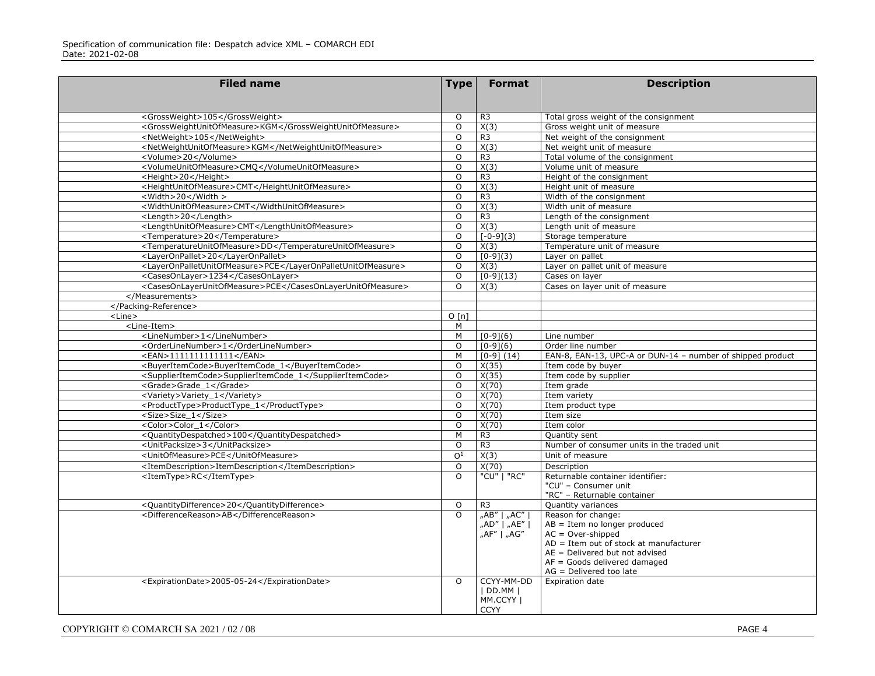| <b>Filed name</b>                                            | <b>Type</b>    | <b>Format</b>  | <b>Description</b>                                         |
|--------------------------------------------------------------|----------------|----------------|------------------------------------------------------------|
|                                                              |                |                |                                                            |
| <grossweight>105</grossweight>                               | O              | R <sub>3</sub> | Total gross weight of the consignment                      |
| <grossweightunitofmeasure>KGM</grossweightunitofmeasure>     | $\circ$        | X(3)           | Gross weight unit of measure                               |
| <netweight>105</netweight>                                   | $\circ$        | R <sub>3</sub> | Net weight of the consignment                              |
| <netweightunitofmeasure>KGM</netweightunitofmeasure>         | $\Omega$       | X(3)           | Net weight unit of measure                                 |
| <volume>20</volume>                                          | $\Omega$       | R <sub>3</sub> | Total volume of the consignment                            |
| <volumeunitofmeasure>CMQ</volumeunitofmeasure>               | $\circ$        | X(3)           | Volume unit of measure                                     |
| <height>20</height>                                          | $\circ$        | R <sub>3</sub> | Height of the consignment                                  |
| <heightunitofmeasure>CMT</heightunitofmeasure>               | $\circ$        | X(3)           | Height unit of measure                                     |
| <width>20</width>                                            | $\circ$        | R <sub>3</sub> | Width of the consignment                                   |
| <widthunitofmeasure>CMT</widthunitofmeasure>                 | $\circ$        | X(3)           | Width unit of measure                                      |
| <length>20</length>                                          | $\Omega$       | R <sub>3</sub> | Length of the consignment                                  |
| <lengthunitofmeasure>CMT</lengthunitofmeasure>               | $\Omega$       | X(3)           | Length unit of measure                                     |
| <temperature>20</temperature>                                | $\Omega$       | $[-0-9](3)$    | Storage temperature                                        |
| <temperatureunitofmeasure>DD</temperatureunitofmeasure>      | $\circ$        | X(3)           | Temperature unit of measure                                |
| <layeronpallet>20</layeronpallet>                            | $\circ$        | $[0-9](3)$     | Layer on pallet                                            |
| <layeronpalletunitofmeasure>PCE</layeronpalletunitofmeasure> | $\Omega$       | X(3)           | Layer on pallet unit of measure                            |
| <casesonlayer>1234</casesonlayer>                            | $\Omega$       | $[0-9](13)$    | Cases on layer                                             |
| <casesonlayerunitofmeasure>PCE</casesonlayerunitofmeasure>   | $\Omega$       | X(3)           | Cases on layer unit of measure                             |
|                                                              |                |                |                                                            |
|                                                              |                |                |                                                            |
| <line></line>                                                | O[n]           |                |                                                            |
| <line-item></line-item>                                      | M              |                |                                                            |
| <linenumber>1</linenumber>                                   | M              | $[0-9](6)$     | Line number                                                |
| <orderlinenumber>1</orderlinenumber>                         | $\Omega$       | $[0-9](6)$     | Order line number                                          |
| <ean>1111111111111</ean>                                     | M              | $[0-9] (14)$   | EAN-8, EAN-13, UPC-A or DUN-14 - number of shipped product |
| <buyeritemcode>BuyerItemCode_1</buyeritemcode>               | $\circ$        | X(35)          | Item code by buyer                                         |
| <supplieritemcode>SupplierItemCode_1</supplieritemcode>      | $\circ$        | X(35)          | Item code by supplier                                      |
| <grade>Grade_1</grade>                                       | $\Omega$       | X(70)          | Item grade                                                 |
| <variety>Variety 1</variety>                                 | $\Omega$       | X(70)          | Item variety                                               |
| <producttype>ProductType 1</producttype>                     | $\Omega$       | X(70)          | Item product type                                          |
| <size>Size_1</size>                                          | $\Omega$       | X(70)          | Item size                                                  |
| <color>Color_1</color>                                       | $\Omega$       | X(70)          | Item color                                                 |
| <quantitydespatched>100</quantitydespatched>                 | M              | R <sub>3</sub> | Quantity sent                                              |
| <unitpacksize>3</unitpacksize>                               | $\circ$        | R <sub>3</sub> | Number of consumer units in the traded unit                |
| <unitofmeasure>PCE</unitofmeasure>                           | O <sup>1</sup> | X(3)           | Unit of measure                                            |
| <itemdescription>ItemDescription</itemdescription>           | $\Omega$       | X(70)          | Description                                                |
| <itemtype>RC</itemtype>                                      | $\Omega$       | "CU"   "RC"    | Returnable container identifier:                           |
|                                                              |                |                | "CU" - Consumer unit                                       |
|                                                              |                |                | "RC" - Returnable container                                |
| <quantitydifference>20</quantitydifference>                  | $\circ$        | R <sub>3</sub> | Quantity variances                                         |
| <differencereason>AB</differencereason>                      | $\Omega$       | "AB"   "AC"    | Reason for change:                                         |
|                                                              |                | "AD"   "AE"    | $AB =$ Item no longer produced                             |
|                                                              |                | "AF"   "AG"    | $AC = Over-shipped$                                        |
|                                                              |                |                | $AD =$ Item out of stock at manufacturer                   |
|                                                              |                |                | $AE =$ Delivered but not advised                           |
|                                                              |                |                | $AF =$ Goods delivered damaged                             |
|                                                              |                |                | $AG =$ Delivered too late                                  |
| <expirationdate>2005-05-24</expirationdate>                  | $\Omega$       | CCYY-MM-DD     | Expiration date                                            |
|                                                              |                | $ $ DD.MM $ $  |                                                            |
|                                                              |                | MM.CCYY        |                                                            |
|                                                              |                | <b>CCYY</b>    |                                                            |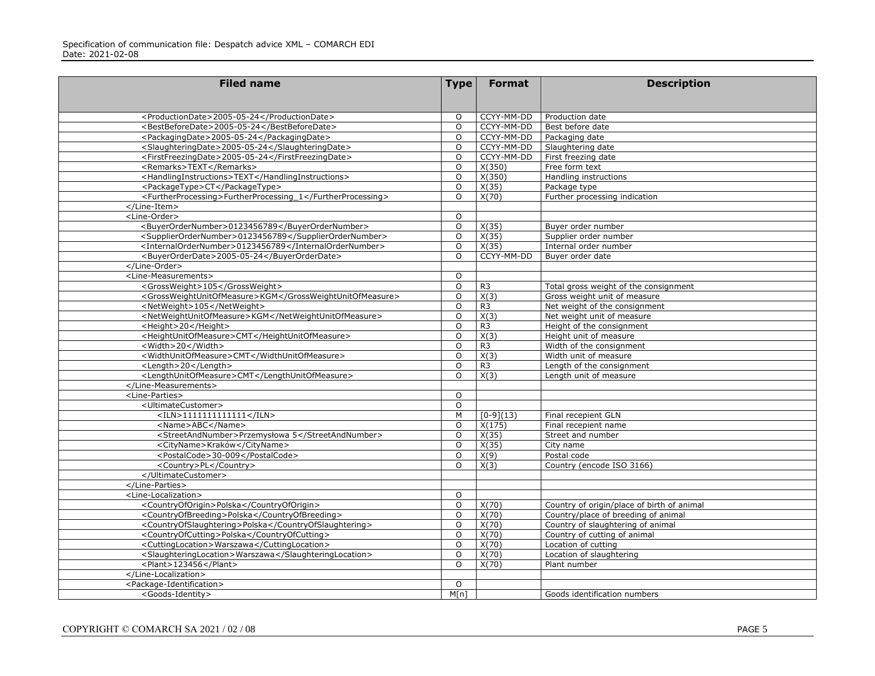| <b>Filed name</b>                                          | <b>Type</b>    | <b>Format</b>  | <b>Description</b>                         |
|------------------------------------------------------------|----------------|----------------|--------------------------------------------|
|                                                            |                |                |                                            |
|                                                            |                |                |                                            |
| <productiondate>2005-05-24</productiondate>                | $\Omega$       | CCYY-MM-DD     | Production date                            |
| <bestbeforedate>2005-05-24</bestbeforedate>                | $\circ$        | CCYY-MM-DD     | Best before date                           |
| <packagingdate>2005-05-24</packagingdate>                  | $\Omega$       | CCYY-MM-DD     | Packaging date                             |
| <slaughteringdate>2005-05-24</slaughteringdate>            | $\Omega$       | CCYY-MM-DD     | Slaughtering date                          |
| <firstfreezingdate>2005-05-24</firstfreezingdate>          | $\Omega$       | CCYY-MM-DD     | First freezing date                        |
| <remarks>TEXT</remarks>                                    | $\Omega$       | X(350)         | Free form text                             |
| <handlinginstructions>TEXT</handlinginstructions>          | $\Omega$       | X(350)         | Handling instructions                      |
| <packagetype>CT</packagetype>                              | $\circ$        | X(35)          | Package type                               |
| <furtherprocessing>FurtherProcessing_1</furtherprocessing> | $\circ$        | X(70)          | Further processing indication              |
|                                                            |                |                |                                            |
| <line-order></line-order>                                  | $\Omega$       |                |                                            |
| <buyerordernumber>0123456789</buyerordernumber>            | $\circ$        | X(35)          | Buyer order number                         |
| <supplierordernumber>0123456789</supplierordernumber>      | $\circ$        | X(35)          | Supplier order number                      |
| <internalordernumber>0123456789</internalordernumber>      | $\circ$        | X(35)          | Internal order number                      |
| <buyerorderdate>2005-05-24</buyerorderdate>                | $\Omega$       | CCYY-MM-DD     | Buyer order date                           |
|                                                            |                |                |                                            |
| <line-measurements></line-measurements>                    | O              |                |                                            |
| <grossweight>105</grossweight>                             | $\Omega$       | R <sub>3</sub> | Total gross weight of the consignment      |
| <grossweightunitofmeasure>KGM</grossweightunitofmeasure>   | $\circ$        | X(3)           | Gross weight unit of measure               |
| <netweight>105</netweight>                                 | $\circ$        | R <sub>3</sub> | Net weight of the consignment              |
| <netweightunitofmeasure>KGM</netweightunitofmeasure>       | $\overline{O}$ | X(3)           | Net weight unit of measure                 |
| <height>20</height>                                        | $\circ$        | R <sub>3</sub> | Height of the consignment                  |
| <heightunitofmeasure>CMT</heightunitofmeasure>             | $\Omega$       | X(3)           | Height unit of measure                     |
| <width>20</width>                                          | $\circ$        | R <sub>3</sub> | Width of the consignment                   |
| <widthunitofmeasure>CMT</widthunitofmeasure>               | $\Omega$       | X(3)           | Width unit of measure                      |
| <length>20</length>                                        | $\circ$        | R <sub>3</sub> | Length of the consignment                  |
| <lengthunitofmeasure>CMT</lengthunitofmeasure>             | $\Omega$       | X(3)           | Length unit of measure                     |
|                                                            |                |                |                                            |
| <line-parties></line-parties>                              | $\circ$        |                |                                            |
| <ultimatecustomer></ultimatecustomer>                      | $\Omega$       |                |                                            |
| $<$ ILN>11111111111111                                     | М              | $[0-9](13)$    | Final recepient GLN                        |
| <name>ABC</name>                                           | $\circ$        | X(175)         | Final recepient name                       |
| <streetandnumber>Przemysłowa 5</streetandnumber>           | $\Omega$       | X(35)          | Street and number                          |
| <cityname>Kraków</cityname>                                | $\circ$        | X(35)          | City name                                  |
| <postalcode>30-009</postalcode>                            | $\Omega$       | X(9)           | Postal code                                |
| <country>PL</country>                                      | $\Omega$       | X(3)           | Country (encode ISO 3166)                  |
|                                                            |                |                |                                            |
|                                                            |                |                |                                            |
| <line-localization></line-localization>                    | $\Omega$       |                |                                            |
| <countryoforigin>Polska</countryoforigin>                  | $\Omega$       | X(70)          | Country of origin/place of birth of animal |
| <countryofbreeding>Polska</countryofbreeding>              | $\circ$        | X(70)          | Country/place of breeding of animal        |
| <countryofslaughtering>Polska</countryofslaughtering>      | $\circ$        | X(70)          | Country of slaughtering of animal          |
| <countryofcutting>Polska</countryofcutting>                | $\circ$        | X(70)          | Country of cutting of animal               |
| <cuttinglocation>Warszawa</cuttinglocation>                | $\circ$        | X(70)          | Location of cutting                        |
| <slaughteringlocation>Warszawa</slaughteringlocation>      | $\Omega$       | X(70)          | Location of slaughtering                   |
| <plant>123456</plant>                                      | $\Omega$       | X(70)          | Plant number                               |
|                                                            |                |                |                                            |
| <package-identification></package-identification>          | O              |                |                                            |
| <goods-identity></goods-identity>                          | M[n]           |                | Goods identification numbers               |
|                                                            |                |                |                                            |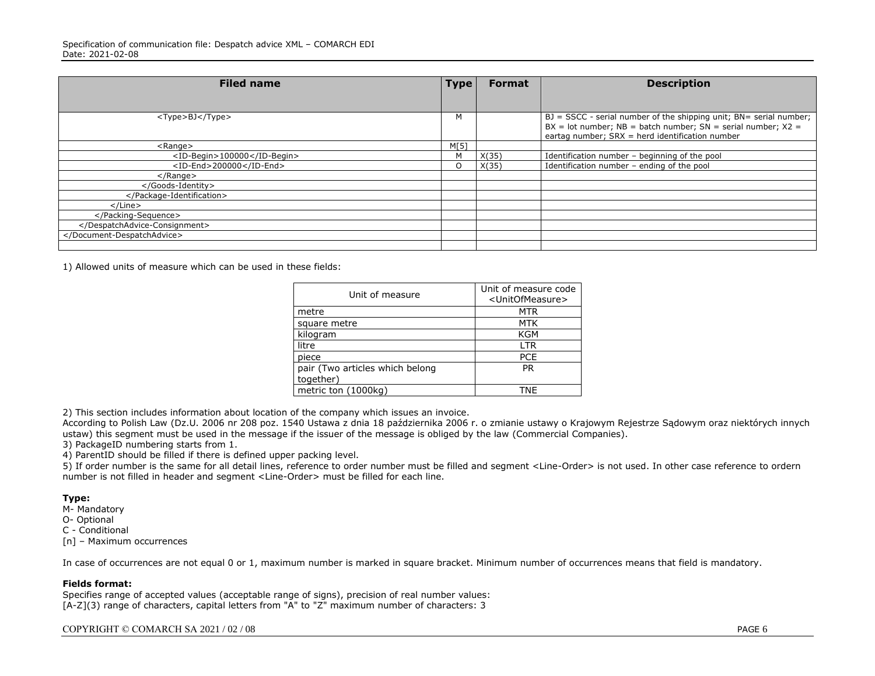| <b>Filed name</b>           | Type | <b>Format</b> | <b>Description</b>                                                                                                                                                                                    |
|-----------------------------|------|---------------|-------------------------------------------------------------------------------------------------------------------------------------------------------------------------------------------------------|
|                             |      |               |                                                                                                                                                                                                       |
| <type>BJ</type>             | м    |               | $BJ = SSCC$ - serial number of the shipping unit; $BN =$ serial number;<br>$BX = lot number$ ; $NB = batch number$ ; $SN = serial number$ ; $X2 =$<br>eartag number; SRX = herd identification number |
| $<$ Range $>$               | M[5] |               |                                                                                                                                                                                                       |
| <id-begin>100000</id-begin> | M    | X(35)         | Identification number - beginning of the pool                                                                                                                                                         |
| <id-end>200000</id-end>     | O    | X(35)         | Identification number - ending of the pool                                                                                                                                                            |
| $\langle$ Range $\rangle$   |      |               |                                                                                                                                                                                                       |
|                             |      |               |                                                                                                                                                                                                       |
|                             |      |               |                                                                                                                                                                                                       |
| $<$ /Line $>$               |      |               |                                                                                                                                                                                                       |
|                             |      |               |                                                                                                                                                                                                       |
|                             |      |               |                                                                                                                                                                                                       |
|                             |      |               |                                                                                                                                                                                                       |
|                             |      |               |                                                                                                                                                                                                       |

1) Allowed units of measure which can be used in these fields:

| Unit of measure                 | Unit of measure code<br><unitofmeasure></unitofmeasure> |
|---------------------------------|---------------------------------------------------------|
| metre                           | MTR                                                     |
| square metre                    | MTK                                                     |
| kilogram                        | KGM                                                     |
| litre                           | <b>LTR</b>                                              |
| piece                           | <b>PCE</b>                                              |
| pair (Two articles which belong | PR.                                                     |
| together)                       |                                                         |
| metric ton (1000kg)             | TNF                                                     |

2) This section includes information about location of the company which issues an invoice.

According to Polish Law (Dz.U. 2006 nr 208 poz. 1540 Ustawa z dnia 18 października 2006 r. o zmianie ustawy o Krajowym Rejestrze Sądowym oraz niektórych innych ustaw) this segment must be used in the message if the issuer of the message is obliged by the law (Commercial Companies).

## 3) PackageID numbering starts from 1.

4) ParentID should be filled if there is defined upper packing level.

5) If order number is the same for all detail lines, reference to order number must be filled and segment <Line-Order> is not used. In other case reference to ordern number is not filled in header and segment <Line-Order> must be filled for each line.

## **Type:**

M- Mandatory

O- Optional

C - Conditional

[n] – Maximum occurrences

In case of occurrences are not equal 0 or 1, maximum number is marked in square bracket. Minimum number of occurrences means that field is mandatory.

## **Fields format:**

Specifies range of accepted values (acceptable range of signs), precision of real number values: [A-Z](3) range of characters, capital letters from "A" to "Z" maximum number of characters: 3